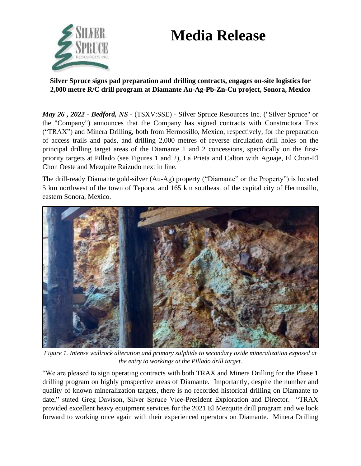# **Media Release**



**Silver Spruce signs pad preparation and drilling contracts, engages on-site logistics for 2,000 metre R/C drill program at Diamante Au-Ag-Pb-Zn-Cu project, Sonora, Mexico**

*May 26 , 2022 - Bedford, NS -* (TSXV:SSE) - Silver Spruce Resources Inc. ("Silver Spruce" or the "Company") announces that the Company has signed contracts with Constructora Trax ("TRAX") and Minera Drilling, both from Hermosillo, Mexico, respectively, for the preparation of access trails and pads, and drilling 2,000 metres of reverse circulation drill holes on the principal drilling target areas of the Diamante 1 and 2 concessions, specifically on the firstpriority targets at Pillado (see Figures 1 and 2), La Prieta and Calton with Aguaje, El Chon-El Chon Oeste and Mezquite Raizudo next in line.

The drill-ready Diamante gold-silver (Au-Ag) property ("Diamante" or the Property") is located 5 km northwest of the town of Tepoca, and 165 km southeast of the capital city of Hermosillo, eastern Sonora, Mexico.



*Figure 1. Intense wallrock alteration and primary sulphide to secondary oxide mineralization exposed at the entry to workings at the Pillado drill target.*

"We are pleased to sign operating contracts with both TRAX and Minera Drilling for the Phase 1 drilling program on highly prospective areas of Diamante. Importantly, despite the number and quality of known mineralization targets, there is no recorded historical drilling on Diamante to date," stated Greg Davison, Silver Spruce Vice-President Exploration and Director. "TRAX provided excellent heavy equipment services for the 2021 El Mezquite drill program and we look forward to working once again with their experienced operators on Diamante. Minera Drilling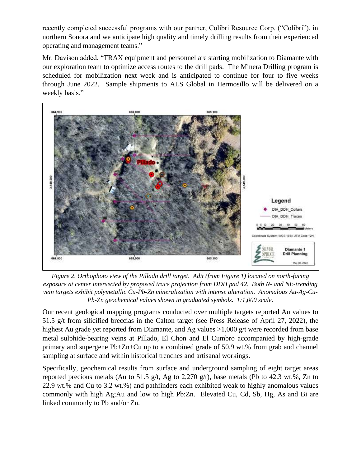recently completed successful programs with our partner, Colibri Resource Corp. ("Colibri"), in northern Sonora and we anticipate high quality and timely drilling results from their experienced operating and management teams."

Mr. Davison added, "TRAX equipment and personnel are starting mobilization to Diamante with our exploration team to optimize access routes to the drill pads. The Minera Drilling program is scheduled for mobilization next week and is anticipated to continue for four to five weeks through June 2022. Sample shipments to ALS Global in Hermosillo will be delivered on a weekly basis."



*Figure 2. Orthophoto view of the Pillado drill target. Adit (from Figure 1) located on north-facing exposure at center intersected by proposed trace projection from DDH pad 42. Both N- and NE-trending vein targets exhibit polymetallic Cu-Pb-Zn mineralization with intense alteration. Anomalous Au-Ag-Cu-Pb-Zn geochemical values shown in graduated symbols. 1:1,000 scale.*

Our recent geological mapping programs conducted over multiple targets reported Au values to 51.5 g/t from silicified breccias in the Calton target (see Press Release of April 27, 2022), the highest Au grade yet reported from Diamante, and Ag values >1,000 g/t were recorded from base metal sulphide-bearing veins at Pillado, El Chon and El Cumbro accompanied by high-grade primary and supergene Pb+Zn+Cu up to a combined grade of 50.9 wt.% from grab and channel sampling at surface and within historical trenches and artisanal workings.

Specifically, geochemical results from surface and underground sampling of eight target areas reported precious metals (Au to 51.5 g/t, Ag to 2,270 g/t), base metals (Pb to 42.3 wt.%, Zn to 22.9 wt.% and Cu to 3.2 wt.%) and pathfinders each exhibited weak to highly anomalous values commonly with high Ag;Au and low to high Pb:Zn. Elevated Cu, Cd, Sb, Hg, As and Bi are linked commonly to Pb and/or Zn.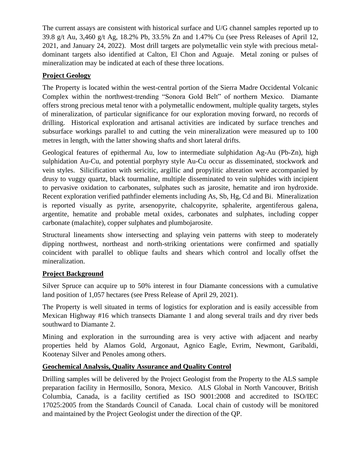The current assays are consistent with historical surface and U/G channel samples reported up to 39.8 g/t Au, 3,460 g/t Ag, 18.2% Pb, 33.5% Zn and 1.47% Cu (see Press Releases of April 12, 2021, and January 24, 2022). Most drill targets are polymetallic vein style with precious metaldominant targets also identified at Calton, El Chon and Aguaje. Metal zoning or pulses of mineralization may be indicated at each of these three locations.

## **Project Geology**

The Property is located within the west-central portion of the Sierra Madre Occidental Volcanic Complex within the northwest-trending "Sonora Gold Belt" of northern Mexico. Diamante offers strong precious metal tenor with a polymetallic endowment, multiple quality targets, styles of mineralization, of particular significance for our exploration moving forward, no records of drilling. Historical exploration and artisanal activities are indicated by surface trenches and subsurface workings parallel to and cutting the vein mineralization were measured up to 100 metres in length, with the latter showing shafts and short lateral drifts.

Geological features of epithermal Au, low to intermediate sulphidation Ag-Au (Pb-Zn), high sulphidation Au-Cu, and potential porphyry style Au-Cu occur as disseminated, stockwork and vein styles. Silicification with sericitic, argillic and propylitic alteration were accompanied by drusy to vuggy quartz, black tourmaline, multiple disseminated to vein sulphides with incipient to pervasive oxidation to carbonates, sulphates such as jarosite, hematite and iron hydroxide. Recent exploration verified pathfinder elements including As, Sb, Hg, Cd and Bi. Mineralization is reported visually as pyrite, arsenopyrite, chalcopyrite, sphalerite, argentiferous galena, argentite, hematite and probable metal oxides, carbonates and sulphates, including copper carbonate (malachite), copper sulphates and plumbojarosite.

Structural lineaments show intersecting and splaying vein patterns with steep to moderately dipping northwest, northeast and north-striking orientations were confirmed and spatially coincident with parallel to oblique faults and shears which control and locally offset the mineralization.

## **Project Background**

Silver Spruce can acquire up to 50% interest in four Diamante concessions with a cumulative land position of 1,057 hectares (see Press Release of April 29, 2021).

The Property is well situated in terms of logistics for exploration and is easily accessible from Mexican Highway #16 which transects Diamante 1 and along several trails and dry river beds southward to Diamante 2.

Mining and exploration in the surrounding area is very active with adjacent and nearby properties held by Alamos Gold, Argonaut, Agnico Eagle, Evrim, Newmont, Garibaldi, Kootenay Silver and Penoles among others.

## **Geochemical Analysis, Quality Assurance and Quality Control**

Drilling samples will be delivered by the Project Geologist from the Property to the ALS sample preparation facility in Hermosillo, Sonora, Mexico. ALS Global in North Vancouver, British Columbia, Canada, is a facility certified as ISO 9001:2008 and accredited to ISO/IEC 17025:2005 from the Standards Council of Canada. Local chain of custody will be monitored and maintained by the Project Geologist under the direction of the QP.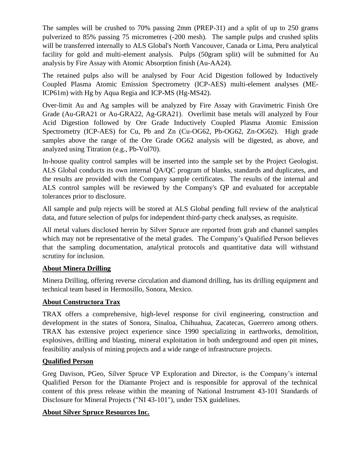The samples will be crushed to 70% passing 2mm (PREP-31) and a split of up to 250 grams pulverized to 85% passing 75 micrometres (-200 mesh). The sample pulps and crushed splits will be transferred internally to ALS Global's North Vancouver, Canada or Lima, Peru analytical facility for gold and multi-element analysis. Pulps (50gram split) will be submitted for Au analysis by Fire Assay with Atomic Absorption finish (Au-AA24).

The retained pulps also will be analysed by Four Acid Digestion followed by Inductively Coupled Plasma Atomic Emission Spectrometry (ICP-AES) multi-element analyses (ME-ICP61m) with Hg by Aqua Regia and ICP-MS (Hg-MS42).

Over-limit Au and Ag samples will be analyzed by Fire Assay with Gravimetric Finish Ore Grade (Au-GRA21 or Au-GRA22, Ag-GRA21). Overlimit base metals will analyzed by Four Acid Digestion followed by Ore Grade Inductively Coupled Plasma Atomic Emission Spectrometry (ICP-AES) for Cu, Pb and Zn (Cu-OG62, Pb-OG62, Zn-OG62). High grade samples above the range of the Ore Grade OG62 analysis will be digested, as above, and analyzed using Titration (e.g., Pb-Vol70).

In-house quality control samples will be inserted into the sample set by the Project Geologist. ALS Global conducts its own internal QA/QC program of blanks, standards and duplicates, and the results are provided with the Company sample certificates. The results of the internal and ALS control samples will be reviewed by the Company's QP and evaluated for acceptable tolerances prior to disclosure.

All sample and pulp rejects will be stored at ALS Global pending full review of the analytical data, and future selection of pulps for independent third-party check analyses, as requisite.

All metal values disclosed herein by Silver Spruce are reported from grab and channel samples which may not be representative of the metal grades. The Company's Qualified Person believes that the sampling documentation, analytical protocols and quantitative data will withstand scrutiny for inclusion.

## **About Minera Drilling**

Minera Drilling, offering reverse circulation and diamond drilling, has its drilling equipment and technical team based in Hermosillo, Sonora, Mexico.

### **About Constructora Trax**

TRAX offers a comprehensive, high-level response for civil engineering, construction and development in the states of Sonora, Sinaloa, Chihuahua, Zacatecas, Guerrero among others. TRAX has extensive project experience since 1990 specializing in earthworks, demolition, explosives, drilling and blasting, mineral exploitation in both underground and open pit mines, feasibility analysis of mining projects and a wide range of infrastructure projects.

## **Qualified Person**

Greg Davison, PGeo, Silver Spruce VP Exploration and Director, is the Company's internal Qualified Person for the Diamante Project and is responsible for approval of the technical content of this press release within the meaning of National Instrument 43-101 Standards of Disclosure for Mineral Projects ("NI 43-101"), under TSX guidelines.

### **About Silver Spruce Resources Inc.**